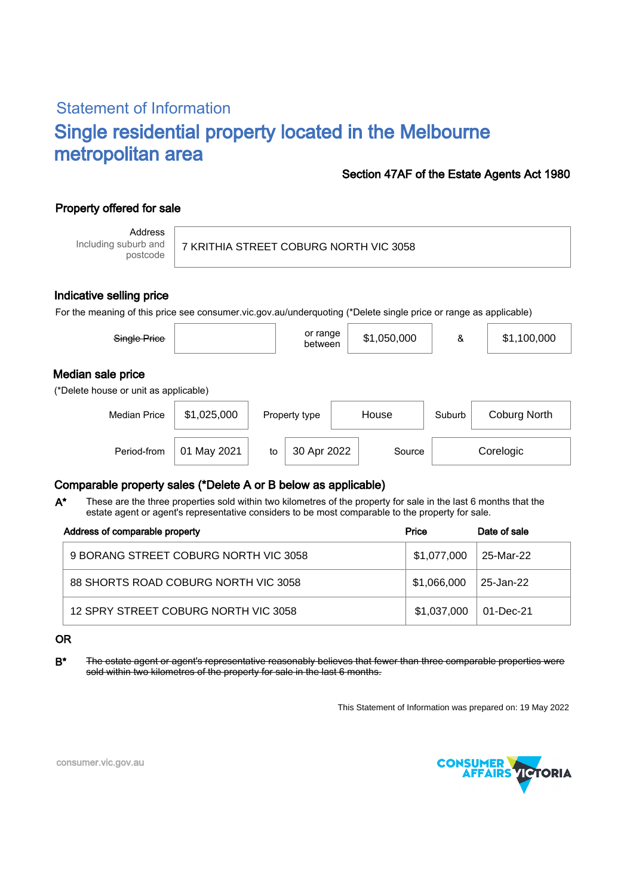# Statement of Information Single residential property located in the Melbourne metropolitan area

### Section 47AF of the Estate Agents Act 1980

## Property offered for sale

Address Including suburb and postcode

7 KRITHIA STREET COBURG NORTH VIC 3058

#### Indicative selling price

For the meaning of this price see consumer.vic.gov.au/underquoting (\*Delete single price or range as applicable)

| Single Price                                               |             |    | or range<br>between |        | \$1,050,000 | &         | \$1,100,000  |  |  |  |  |  |
|------------------------------------------------------------|-------------|----|---------------------|--------|-------------|-----------|--------------|--|--|--|--|--|
| Median sale price<br>(*Delete house or unit as applicable) |             |    |                     |        |             |           |              |  |  |  |  |  |
| <b>Median Price</b>                                        | \$1,025,000 |    | Property type       | House  |             | Suburb    | Coburg North |  |  |  |  |  |
| Period-from                                                | 01 May 2021 | to | 30 Apr 2022         | Source |             | Corelogic |              |  |  |  |  |  |

### Comparable property sales (\*Delete A or B below as applicable)

These are the three properties sold within two kilometres of the property for sale in the last 6 months that the estate agent or agent's representative considers to be most comparable to the property for sale. A\*

| Address of comparable property        | Price       | Date of sale |  |
|---------------------------------------|-------------|--------------|--|
| 9 BORANG STREET COBURG NORTH VIC 3058 | \$1,077,000 | 25-Mar-22    |  |
| 88 SHORTS ROAD COBURG NORTH VIC 3058  | \$1,066,000 | 25-Jan-22    |  |
| 12 SPRY STREET COBURG NORTH VIC 3058  | \$1,037,000 | 01-Dec-21    |  |

#### OR

B<sup>\*</sup> The estate agent or agent's representative reasonably believes that fewer than three comparable properties were sold within two kilometres of the property for sale in the last 6 months.

This Statement of Information was prepared on: 19 May 2022



consumer.vic.gov.au